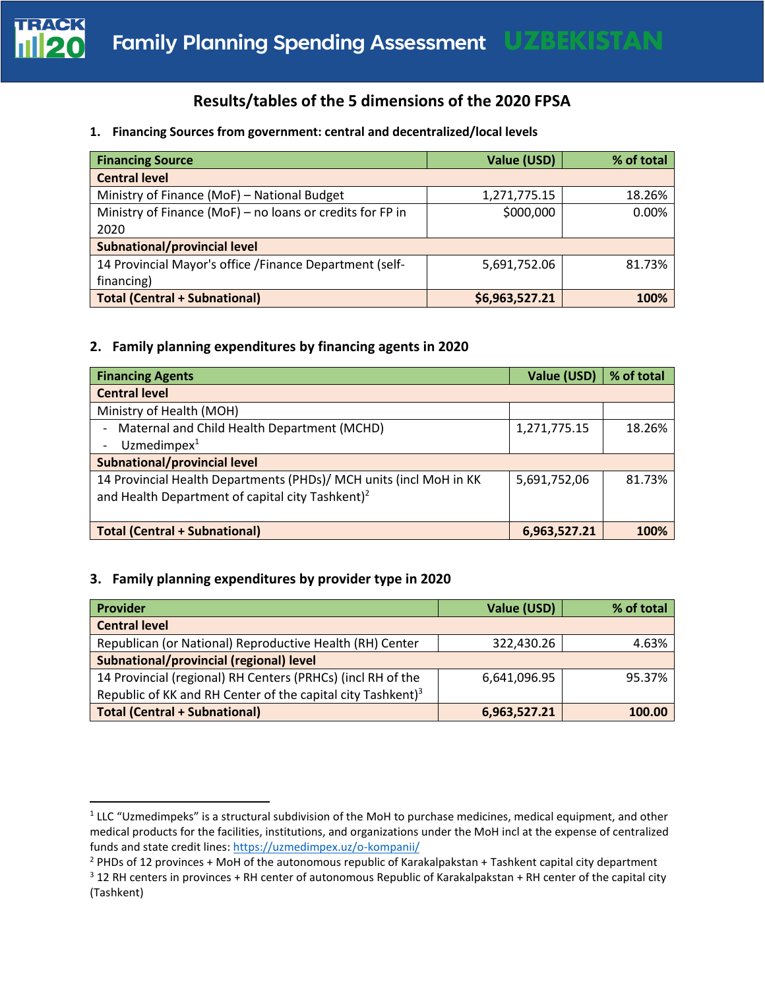

## **Results/tables of the 5 dimensions of the 2020 FPSA**

### **1. Financing Sources from government: central and decentralized/local levels**

| <b>Financing Source</b>                                   | Value (USD)    | % of total |
|-----------------------------------------------------------|----------------|------------|
| <b>Central level</b>                                      |                |            |
| Ministry of Finance (MoF) - National Budget               | 1,271,775.15   | 18.26%     |
| Ministry of Finance (MoF) - no loans or credits for FP in | \$000,000      | 0.00%      |
| 2020                                                      |                |            |
| Subnational/provincial level                              |                |            |
| 14 Provincial Mayor's office / Finance Department (self-  | 5,691,752.06   | 81.73%     |
| financing)                                                |                |            |
| <b>Total (Central + Subnational)</b>                      | \$6,963,527.21 | 100%       |

## **2. Family planning expenditures by financing agents in 2020**

| <b>Financing Agents</b>                                            | Value (USD)  | % of total |
|--------------------------------------------------------------------|--------------|------------|
| <b>Central level</b>                                               |              |            |
| Ministry of Health (MOH)                                           |              |            |
| Maternal and Child Health Department (MCHD)                        | 1,271,775.15 | 18.26%     |
| Uzmedimpex $1$                                                     |              |            |
| Subnational/provincial level                                       |              |            |
| 14 Provincial Health Departments (PHDs)/ MCH units (incl MoH in KK | 5,691,752,06 | 81.73%     |
| and Health Department of capital city Tashkent) <sup>2</sup>       |              |            |
|                                                                    |              |            |
| <b>Total (Central + Subnational)</b>                               | 6,963,527.21 | 100%       |

### **3. Family planning expenditures by provider type in 2020**

| Provider                                                                | Value (USD)  | % of total |
|-------------------------------------------------------------------------|--------------|------------|
| <b>Central level</b>                                                    |              |            |
| Republican (or National) Reproductive Health (RH) Center                | 322,430.26   | 4.63%      |
| <b>Subnational/provincial (regional) level</b>                          |              |            |
| 14 Provincial (regional) RH Centers (PRHCs) (incl RH of the             | 6,641,096.95 | 95.37%     |
| Republic of KK and RH Center of the capital city Tashkent) <sup>3</sup> |              |            |
| <b>Total (Central + Subnational)</b>                                    | 6,963,527.21 | 100.00     |

<sup>&</sup>lt;sup>1</sup> LLC "Uzmedimpeks" is a structural subdivision of the MoH to purchase medicines, medical equipment, and other medical products for the facilities, institutions, and organizations under the MoH incl at the expense of centralized funds and state credit lines: <https://uzmedimpex.uz/o-kompanii/>

<sup>&</sup>lt;sup>2</sup> PHDs of 12 provinces + MoH of the autonomous republic of Karakalpakstan + Tashkent capital city department

 $3$  12 RH centers in provinces + RH center of autonomous Republic of Karakalpakstan + RH center of the capital city (Tashkent)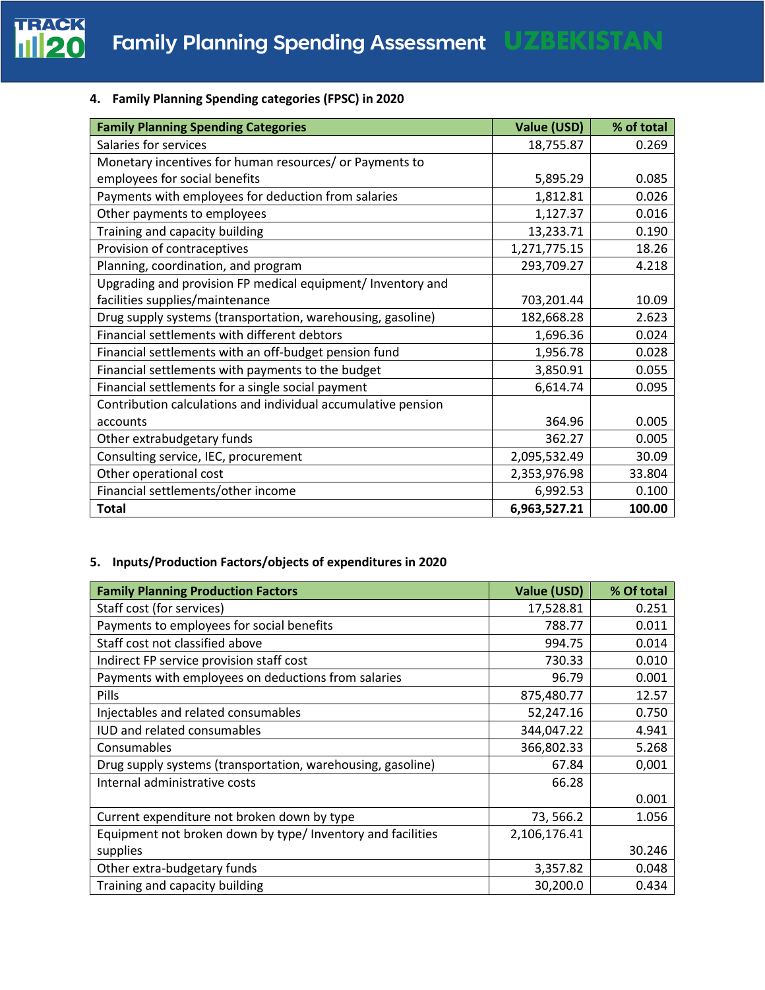

## **4. Family Planning Spending categories (FPSC) in 2020**

| <b>Family Planning Spending Categories</b>                    | Value (USD)  | % of total |
|---------------------------------------------------------------|--------------|------------|
| Salaries for services                                         | 18,755.87    | 0.269      |
| Monetary incentives for human resources/ or Payments to       |              |            |
| employees for social benefits                                 | 5,895.29     | 0.085      |
| Payments with employees for deduction from salaries           | 1,812.81     | 0.026      |
| Other payments to employees                                   | 1,127.37     | 0.016      |
| Training and capacity building                                | 13,233.71    | 0.190      |
| Provision of contraceptives                                   | 1,271,775.15 | 18.26      |
| Planning, coordination, and program                           | 293,709.27   | 4.218      |
| Upgrading and provision FP medical equipment/ Inventory and   |              |            |
| facilities supplies/maintenance                               | 703,201.44   | 10.09      |
| Drug supply systems (transportation, warehousing, gasoline)   | 182,668.28   | 2.623      |
| Financial settlements with different debtors                  | 1,696.36     | 0.024      |
| Financial settlements with an off-budget pension fund         | 1,956.78     | 0.028      |
| Financial settlements with payments to the budget             | 3,850.91     | 0.055      |
| Financial settlements for a single social payment             | 6,614.74     | 0.095      |
| Contribution calculations and individual accumulative pension |              |            |
| accounts                                                      | 364.96       | 0.005      |
| Other extrabudgetary funds                                    | 362.27       | 0.005      |
| Consulting service, IEC, procurement                          | 2,095,532.49 | 30.09      |
| Other operational cost                                        | 2,353,976.98 | 33.804     |
| Financial settlements/other income                            | 6,992.53     | 0.100      |
| <b>Total</b>                                                  | 6,963,527.21 | 100.00     |

## **5. Inputs/Production Factors/objects of expenditures in 2020**

| <b>Family Planning Production Factors</b>                   | Value (USD)  | % Of total |
|-------------------------------------------------------------|--------------|------------|
| Staff cost (for services)                                   | 17,528.81    | 0.251      |
| Payments to employees for social benefits                   | 788.77       | 0.011      |
| Staff cost not classified above                             | 994.75       | 0.014      |
| Indirect FP service provision staff cost                    | 730.33       | 0.010      |
| Payments with employees on deductions from salaries         | 96.79        | 0.001      |
| <b>Pills</b>                                                | 875,480.77   | 12.57      |
| Injectables and related consumables                         | 52,247.16    | 0.750      |
| <b>IUD and related consumables</b>                          | 344,047.22   | 4.941      |
| Consumables                                                 | 366,802.33   | 5.268      |
| Drug supply systems (transportation, warehousing, gasoline) | 67.84        | 0,001      |
| Internal administrative costs                               | 66.28        |            |
|                                                             |              | 0.001      |
| Current expenditure not broken down by type                 | 73, 566.2    | 1.056      |
| Equipment not broken down by type/ Inventory and facilities | 2,106,176.41 |            |
| supplies                                                    |              | 30.246     |
| Other extra-budgetary funds                                 | 3,357.82     | 0.048      |
| Training and capacity building                              | 30,200.0     | 0.434      |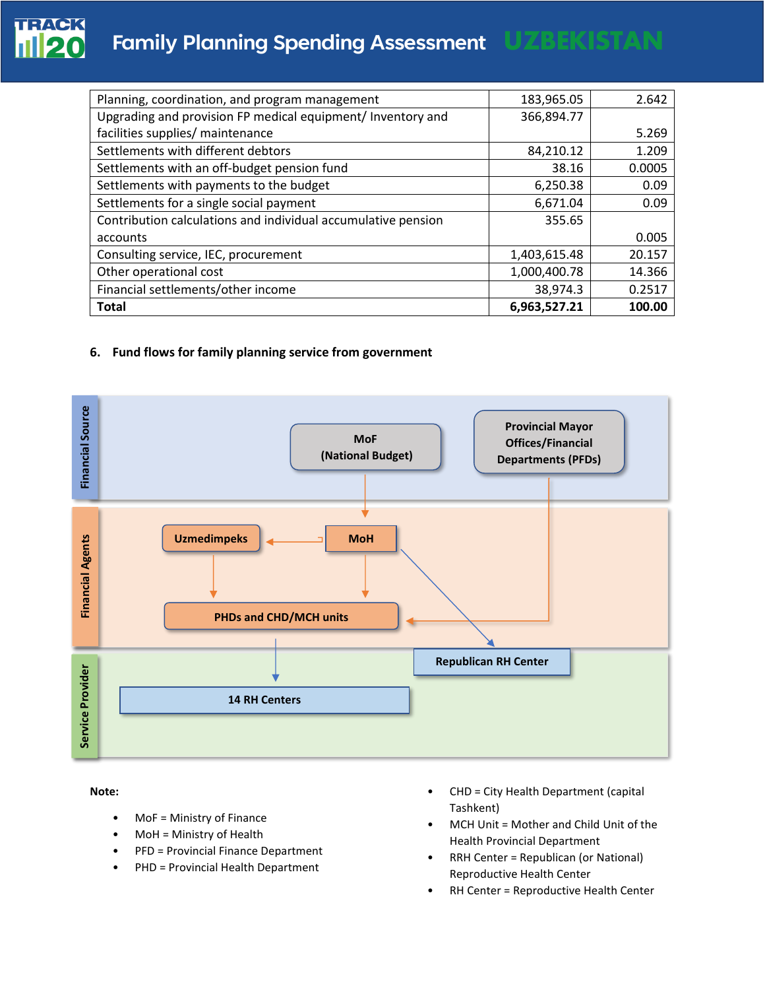# **Family Planning Spending Assessment UZBEKISTAN**

| Planning, coordination, and program management                | 183,965.05   | 2.642  |
|---------------------------------------------------------------|--------------|--------|
| Upgrading and provision FP medical equipment/ Inventory and   | 366,894.77   |        |
| facilities supplies/ maintenance                              |              | 5.269  |
| Settlements with different debtors                            | 84,210.12    | 1.209  |
| Settlements with an off-budget pension fund                   | 38.16        | 0.0005 |
| Settlements with payments to the budget                       | 6,250.38     | 0.09   |
| Settlements for a single social payment                       | 6,671.04     | 0.09   |
| Contribution calculations and individual accumulative pension | 355.65       |        |
| accounts                                                      |              | 0.005  |
| Consulting service, IEC, procurement                          | 1,403,615.48 | 20.157 |
| Other operational cost                                        | 1,000,400.78 | 14.366 |
| Financial settlements/other income                            | 38,974.3     | 0.2517 |
| <b>Total</b>                                                  | 6,963,527.21 | 100.00 |

### **6. Fund flows for family planning service from government**



**Note:** 

- MoF = Ministry of Finance
- MoH = Ministry of Health
- PFD = Provincial Finance Department
- PHD = Provincial Health Department
- CHD = City Health Department (capital Tashkent)
- MCH Unit = Mother and Child Unit of the Health Provincial Department
- RRH Center = Republican (or National) Reproductive Health Center
- RH Center = Reproductive Health Center